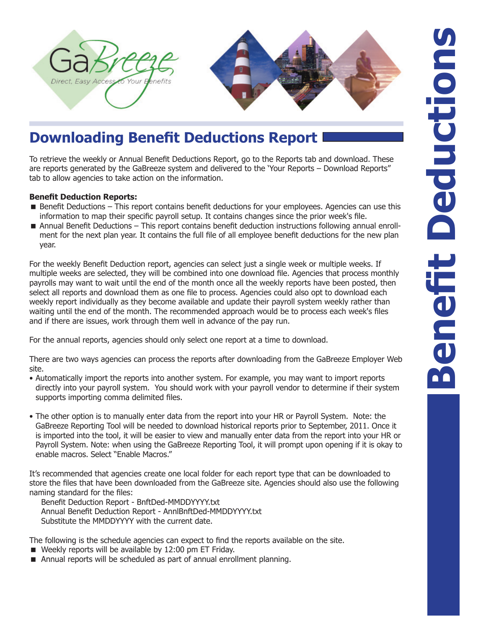

## **Downloading Benefit Deductions Report**

To retrieve the weekly or Annual Benefit Deductions Report, go to the Reports tab and download. These are reports generated by the GaBreeze system and delivered to the 'Your Reports – Download Reports" tab to allow agencies to take action on the information.

## **Benefit Deduction Reports:**

- Benefit Deductions This report contains benefit deductions for your employees. Agencies can use this information to map their specific payroll setup. It contains changes since the prior week's file.
- Annual Benefit Deductions This report contains benefit deduction instructions following annual enrollment for the next plan year. It contains the full file of all employee benefit deductions for the new plan year.

For the weekly Benefit Deduction report, agencies can select just a single week or multiple weeks. If multiple weeks are selected, they will be combined into one download file. Agencies that process monthly payrolls may want to wait until the end of the month once all the weekly reports have been posted, then select all reports and download them as one file to process. Agencies could also opt to download each weekly report individually as they become available and update their payroll system weekly rather than waiting until the end of the month. The recommended approach would be to process each week's files and if there are issues, work through them well in advance of the pay run.

For the annual reports, agencies should only select one report at a time to download.

There are two ways agencies can process the reports after downloading from the GaBreeze Employer Web site.

- Automatically import the reports into another system. For example, you may want to import reports directly into your payroll system. You should work with your payroll vendor to determine if their system supports importing comma delimited files.
- The other option is to manually enter data from the report into your HR or Payroll System. Note: the GaBreeze Reporting Tool will be needed to download historical reports prior to September, 2011. Once it is imported into the tool, it will be easier to view and manually enter data from the report into your HR or Payroll System. Note: when using the GaBreeze Reporting Tool, it will prompt upon opening if it is okay to enable macros. Select "Enable Macros."

It's recommended that agencies create one local folder for each report type that can be downloaded to store the files that have been downloaded from the GaBreeze site. Agencies should also use the following naming standard for the files:

Benefit Deduction Report - BnftDed-MMDDYYYY.txt Annual Benefit Deduction Report - AnnlBnftDed-MMDDYYYY.txt Substitute the MMDDYYYY with the current date.

The following is the schedule agencies can expect to find the reports available on the site.

- Weekly reports will be available by 12:00 pm ET Friday.
- Annual reports will be scheduled as part of annual enrollment planning.